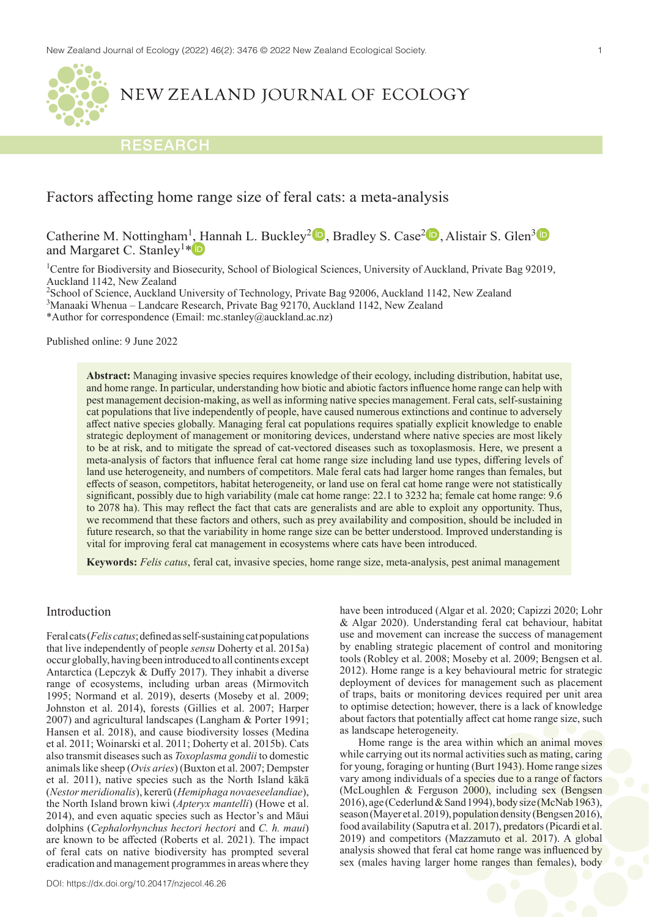

NEW ZEALAND JOURNAL OF ECOLOGY

# **RESEARCH**

# Factors affecting home range size of feral cats: a meta-analysis

Catherine M. Nottingham<sup>1</sup>[, H](https://orcid.org/0000-0003-0701-8935)annah L. Buckley<sup>2</sup><sup>D</sup>, Bradley S. Case<sup>2</sup>D, Alistair S. Glen<sup>[3](https://orcid.org/0000-0002-7777-7630)</sup> and Margaret C. Stanley<sup>1\*</sup>

<sup>1</sup>Centre for Biodiversity and Biosecurity, School of Biological Sciences, University of Auckland, Private Bag 92019, Auckland 1142, New Zealand

<sup>2</sup>School of Science, Auckland University of Technology, Private Bag 92006, Auckland 1142, New Zealand 3 Manaaki Whenua – Landcare Research, Private Bag 92170, Auckland 1142, New Zealand

\*Author for correspondence (Email: mc.stanley@auckland.ac.nz)

Published online: 9 June 2022

**Abstract:** Managing invasive species requires knowledge of their ecology, including distribution, habitat use, and home range. In particular, understanding how biotic and abiotic factors influence home range can help with pest management decision-making, as well as informing native species management. Feral cats, self-sustaining cat populations that live independently of people, have caused numerous extinctions and continue to adversely affect native species globally. Managing feral cat populations requires spatially explicit knowledge to enable strategic deployment of management or monitoring devices, understand where native species are most likely to be at risk, and to mitigate the spread of cat-vectored diseases such as toxoplasmosis. Here, we present a meta-analysis of factors that influence feral cat home range size including land use types, differing levels of land use heterogeneity, and numbers of competitors. Male feral cats had larger home ranges than females, but effects of season, competitors, habitat heterogeneity, or land use on feral cat home range were not statistically significant, possibly due to high variability (male cat home range: 22.1 to 3232 ha; female cat home range: 9.6 to 2078 ha). This may reflect the fact that cats are generalists and are able to exploit any opportunity. Thus, we recommend that these factors and others, such as prey availability and composition, should be included in future research, so that the variability in home range size can be better understood. Improved understanding is vital for improving feral cat management in ecosystems where cats have been introduced.

**Keywords:** *Felis catus*, feral cat, invasive species, home range size, meta-analysis, pest animal management

# Introduction

Feral cats (*Felis catus*; defined as self-sustaining cat populations that live independently of people *sensu* Doherty et al. 2015a) occur globally, having been introduced to all continents except Antarctica (Lepczyk & Duffy 2017). They inhabit a diverse range of ecosystems, including urban areas (Mirmovitch 1995; Normand et al. 2019), deserts (Moseby et al. 2009; Johnston et al. 2014), forests (Gillies et al. 2007; Harper 2007) and agricultural landscapes (Langham & Porter 1991; Hansen et al. 2018), and cause biodiversity losses (Medina et al. 2011; Woinarski et al. 2011; Doherty et al. 2015b). Cats also transmit diseases such as *Toxoplasma gondii* to domestic animals like sheep (*Ovis aries*) (Buxton et al. 2007; Dempster et al. 2011), native species such as the North Island kākā (*Nestor meridionalis*), kererū (*Hemiphaga novaeseelandiae*), the North Island brown kiwi (*Apteryx mantelli*) (Howe et al. 2014), and even aquatic species such as Hector's and Māui dolphins (*Cephalorhynchus hectori hectori* and *C. h. maui*) are known to be affected (Roberts et al. 2021). The impact of feral cats on native biodiversity has prompted several eradication and management programmes in areas where they have been introduced (Algar et al. 2020; Capizzi 2020; Lohr & Algar 2020). Understanding feral cat behaviour, habitat use and movement can increase the success of management by enabling strategic placement of control and monitoring tools (Robley et al. 2008; Moseby et al. 2009; Bengsen et al. 2012). Home range is a key behavioural metric for strategic deployment of devices for management such as placement of traps, baits or monitoring devices required per unit area to optimise detection; however, there is a lack of knowledge about factors that potentially affect cat home range size, such as landscape heterogeneity.

Home range is the area within which an animal moves while carrying out its normal activities such as mating, caring for young, foraging or hunting (Burt 1943). Home range sizes vary among individuals of a species due to a range of factors (McLoughlen & Ferguson 2000), including sex (Bengsen 2016), age (Cederlund & Sand 1994), body size (McNab 1963), season (Mayer et al. 2019), population density (Bengsen 2016), food availability (Saputra et al. 2017), predators (Picardi et al. 2019) and competitors (Mazzamuto et al. 2017). A global analysis showed that feral cat home range was influenced by sex (males having larger home ranges than females), body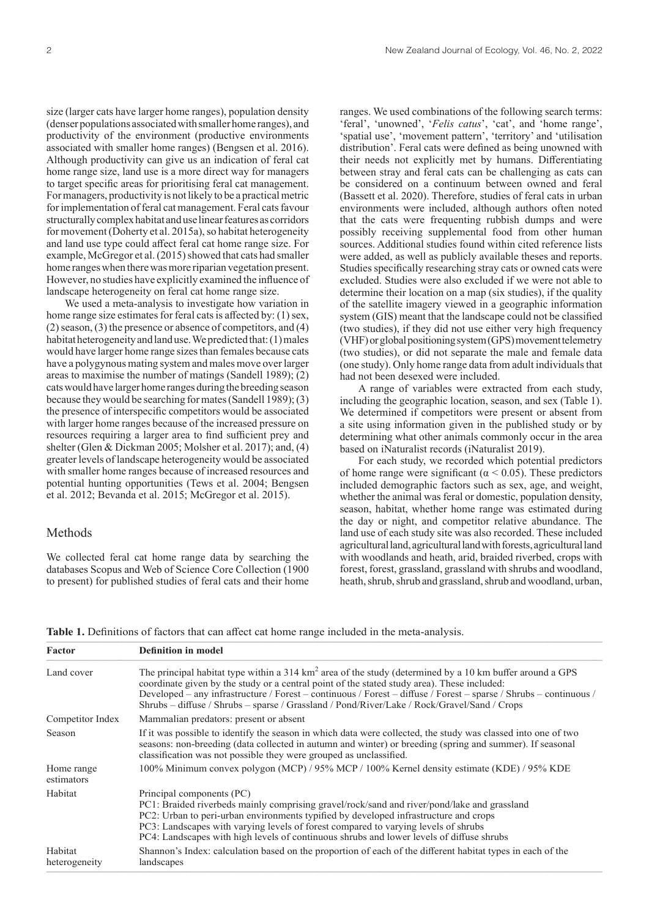size (larger cats have larger home ranges), population density (denser populations associated with smaller home ranges), and productivity of the environment (productive environments associated with smaller home ranges) (Bengsen et al. 2016). Although productivity can give us an indication of feral cat home range size, land use is a more direct way for managers to target specific areas for prioritising feral cat management. For managers, productivity is not likely to be a practical metric for implementation of feral cat management. Feral cats favour structurally complex habitat and use linear features as corridors for movement (Doherty et al. 2015a), so habitat heterogeneity and land use type could affect feral cat home range size. For example, McGregor et al. (2015) showed that cats had smaller home ranges when there was more riparian vegetation present. However, no studies have explicitly examined the influence of landscape heterogeneity on feral cat home range size.

We used a meta-analysis to investigate how variation in home range size estimates for feral cats is affected by: (1) sex, (2) season, (3) the presence or absence of competitors, and (4) habitat heterogeneity and land use. We predicted that: (1) males would have larger home range sizes than females because cats have a polygynous mating system and males move over larger areas to maximise the number of matings (Sandell 1989); (2) cats would have larger home ranges during the breeding season because they would be searching for mates (Sandell 1989); (3) the presence of interspecific competitors would be associated with larger home ranges because of the increased pressure on resources requiring a larger area to find sufficient prey and shelter (Glen & Dickman 2005; Molsher et al. 2017); and, (4) greater levels of landscape heterogeneity would be associated with smaller home ranges because of increased resources and potential hunting opportunities (Tews et al. 2004; Bengsen et al. 2012; Bevanda et al. 2015; McGregor et al. 2015).

# Methods

We collected feral cat home range data by searching the databases Scopus and Web of Science Core Collection (1900 to present) for published studies of feral cats and their home

ranges. We used combinations of the following search terms: 'feral', 'unowned', '*Felis catus*', 'cat', and 'home range', 'spatial use', 'movement pattern', 'territory' and 'utilisation distribution'. Feral cats were defined as being unowned with their needs not explicitly met by humans. Differentiating between stray and feral cats can be challenging as cats can be considered on a continuum between owned and feral (Bassett et al. 2020). Therefore, studies of feral cats in urban environments were included, although authors often noted that the cats were frequenting rubbish dumps and were possibly receiving supplemental food from other human sources. Additional studies found within cited reference lists were added, as well as publicly available theses and reports. Studies specifically researching stray cats or owned cats were excluded. Studies were also excluded if we were not able to determine their location on a map (six studies), if the quality of the satellite imagery viewed in a geographic information system (GIS) meant that the landscape could not be classified (two studies), if they did not use either very high frequency (VHF) or global positioning system (GPS) movement telemetry (two studies), or did not separate the male and female data (one study). Only home range data from adult individuals that had not been desexed were included.

A range of variables were extracted from each study, including the geographic location, season, and sex (Table 1). We determined if competitors were present or absent from a site using information given in the published study or by determining what other animals commonly occur in the area based on iNaturalist records (iNaturalist 2019).

For each study, we recorded which potential predictors of home range were significant ( $\alpha$  < 0.05). These predictors included demographic factors such as sex, age, and weight, whether the animal was feral or domestic, population density, season, habitat, whether home range was estimated during the day or night, and competitor relative abundance. The land use of each study site was also recorded. These included agricultural land, agricultural land with forests, agricultural land with woodlands and heath, arid, braided riverbed, crops with forest, forest, grassland, grassland with shrubs and woodland, heath, shrub, shrub and grassland, shrub and woodland, urban,

Table 1. Definitions of factors that can affect cat home range included in the meta-analysis.

| Factor                   | <b>Definition in model</b>                                                                                                                                                                                                                                                                                                                                                                                                    |  |  |  |
|--------------------------|-------------------------------------------------------------------------------------------------------------------------------------------------------------------------------------------------------------------------------------------------------------------------------------------------------------------------------------------------------------------------------------------------------------------------------|--|--|--|
| Land cover               | The principal habitat type within a 314 $km2$ area of the study (determined by a 10 km buffer around a GPS<br>coordinate given by the study or a central point of the stated study area). These included:<br>Developed – any infrastructure / Forest – continuous / Forest – diffuse / Forest – sparse / Shrubs – continuous /<br>Shrubs – diffuse / Shrubs – sparse / Grassland / Pond/River/Lake / Rock/Gravel/Sand / Crops |  |  |  |
| Competitor Index         | Mammalian predators: present or absent                                                                                                                                                                                                                                                                                                                                                                                        |  |  |  |
| Season                   | If it was possible to identify the season in which data were collected, the study was classed into one of two<br>seasons: non-breeding (data collected in autumn and winter) or breeding (spring and summer). If seasonal<br>classification was not possible they were grouped as unclassified.                                                                                                                               |  |  |  |
| Home range<br>estimators | 100% Minimum convex polygon (MCP) / 95% MCP / 100% Kernel density estimate (KDE) / 95% KDE                                                                                                                                                                                                                                                                                                                                    |  |  |  |
| Habitat                  | Principal components (PC)<br>PC1: Braided riverbeds mainly comprising gravel/rock/sand and river/pond/lake and grassland<br>PC2: Urban to peri-urban environments typified by developed infrastructure and crops<br>PC3: Landscapes with varying levels of forest compared to varying levels of shrubs<br>PC4: Landscapes with high levels of continuous shrubs and lower levels of diffuse shrubs                            |  |  |  |
| Habitat<br>heterogeneity | Shannon's Index: calculation based on the proportion of each of the different habitat types in each of the<br>landscapes                                                                                                                                                                                                                                                                                                      |  |  |  |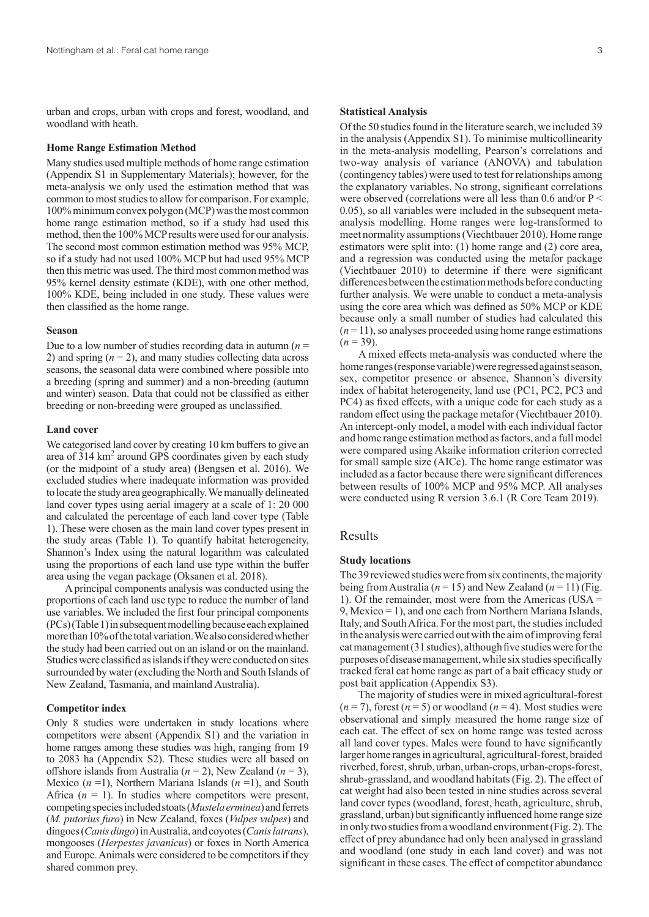urban and crops, urban with crops and forest, woodland, and woodland with heath.

### **Home Range Estimation Method**

Many studies used multiple methods of home range estimation (Appendix S1 in Supplementary Materials); however, for the meta-analysis we only used the estimation method that was common to most studies to allow for comparison. For example, 100% minimum convex polygon (MCP) was the most common home range estimation method, so if a study had used this method, then the 100% MCP results were used for our analysis. The second most common estimation method was 95% MCP, so if a study had not used 100% MCP but had used 95% MCP then this metric was used. The third most common method was 95% kernel density estimate (KDE), with one other method, 100% KDE, being included in one study. These values were then classified as the home range.

### **Season**

Due to a low number of studies recording data in autumn  $(n =$ 2) and spring  $(n = 2)$ , and many studies collecting data across seasons, the seasonal data were combined where possible into a breeding (spring and summer) and a non-breeding (autumn and winter) season. Data that could not be classified as either breeding or non-breeding were grouped as unclassified.

#### **Land cover**

We categorised land cover by creating 10 km buffers to give an area of 314 km<sup>2</sup> around GPS coordinates given by each study (or the midpoint of a study area) (Bengsen et al. 2016). We excluded studies where inadequate information was provided to locate the study area geographically. We manually delineated land cover types using aerial imagery at a scale of 1: 20 000 and calculated the percentage of each land cover type (Table 1). These were chosen as the main land cover types present in the study areas (Table 1). To quantify habitat heterogeneity, Shannon's Index using the natural logarithm was calculated using the proportions of each land use type within the buffer area using the vegan package (Oksanen et al. 2018).

A principal components analysis was conducted using the proportions of each land use type to reduce the number of land use variables. We included the first four principal components (PCs) (Table 1) in subsequent modelling because each explained more than 10% of the total variation. We also considered whether the study had been carried out on an island or on the mainland. Studies were classified as islands if they were conducted on sites surrounded by water (excluding the North and South Islands of New Zealand, Tasmania, and mainland Australia).

### **Competitor index**

Only 8 studies were undertaken in study locations where competitors were absent (Appendix S1) and the variation in home ranges among these studies was high, ranging from 19 to 2083 ha (Appendix S2). These studies were all based on offshore islands from Australia (*n* = 2), New Zealand (*n* = 3), Mexico (*n* =1), Northern Mariana Islands (*n* =1), and South Africa  $(n = 1)$ . In studies where competitors were present, competing species included stoats (*Mustela erminea*) and ferrets (*M. putorius furo*) in New Zealand, foxes (*Vulpes vulpes*) and dingoes (*Canis dingo*) in Australia, and coyotes (*Canis latrans*), mongooses (*Herpestes javanicus*) or foxes in North America and Europe. Animals were considered to be competitors if they shared common prey.

## **Statistical Analysis**

Of the 50 studies found in the literature search, we included 39 in the analysis (Appendix S1). To minimise multicollinearity in the meta-analysis modelling, Pearson's correlations and two-way analysis of variance (ANOVA) and tabulation (contingency tables) were used to test for relationships among the explanatory variables. No strong, significant correlations were observed (correlations were all less than 0.6 and/or  $P \leq$ 0.05), so all variables were included in the subsequent metaanalysis modelling. Home ranges were log-transformed to meet normality assumptions (Viechtbauer 2010). Home range estimators were split into: (1) home range and (2) core area, and a regression was conducted using the metafor package (Viechtbauer 2010) to determine if there were significant differences between the estimation methods before conducting further analysis. We were unable to conduct a meta-analysis using the core area which was defined as 50% MCP or KDE because only a small number of studies had calculated this  $(n=11)$ , so analyses proceeded using home range estimations  $(n = 39)$ .

A mixed effects meta-analysis was conducted where the home ranges (response variable) were regressed against season, sex, competitor presence or absence, Shannon's diversity index of habitat heterogeneity, land use (PC1, PC2, PC3 and PC4) as fixed effects, with a unique code for each study as a random effect using the package metafor (Viechtbauer 2010). An intercept-only model, a model with each individual factor and home range estimation method as factors, and a full model were compared using Akaike information criterion corrected for small sample size (AICc). The home range estimator was included as a factor because there were significant differences between results of 100% MCP and 95% MCP. All analyses were conducted using R version 3.6.1 (R Core Team 2019).

# Results

# **Study locations**

The 39 reviewed studies were from six continents, the majority being from Australia (*n* = 15) and New Zealand (*n* = 11) (Fig. 1). Of the remainder, most were from the Americas (USA = 9, Mexico = 1), and one each from Northern Mariana Islands, Italy, and South Africa. For the most part, the studies included in the analysis were carried out with the aim of improving feral cat management (31 studies), although five studies were for the purposes of disease management, while six studies specifically tracked feral cat home range as part of a bait efficacy study or post bait application (Appendix S3).

The majority of studies were in mixed agricultural-forest  $(n=7)$ , forest  $(n=5)$  or woodland  $(n=4)$ . Most studies were observational and simply measured the home range size of each cat. The effect of sex on home range was tested across all land cover types. Males were found to have significantly larger home ranges in agricultural, agricultural-forest, braided riverbed, forest, shrub, urban, urban-crops, urban-crops-forest, shrub-grassland, and woodland habitats (Fig. 2). The effect of cat weight had also been tested in nine studies across several land cover types (woodland, forest, heath, agriculture, shrub, grassland, urban) but significantly influenced home range size in only two studies from a woodland environment (Fig. 2). The effect of prey abundance had only been analysed in grassland and woodland (one study in each land cover) and was not significant in these cases. The effect of competitor abundance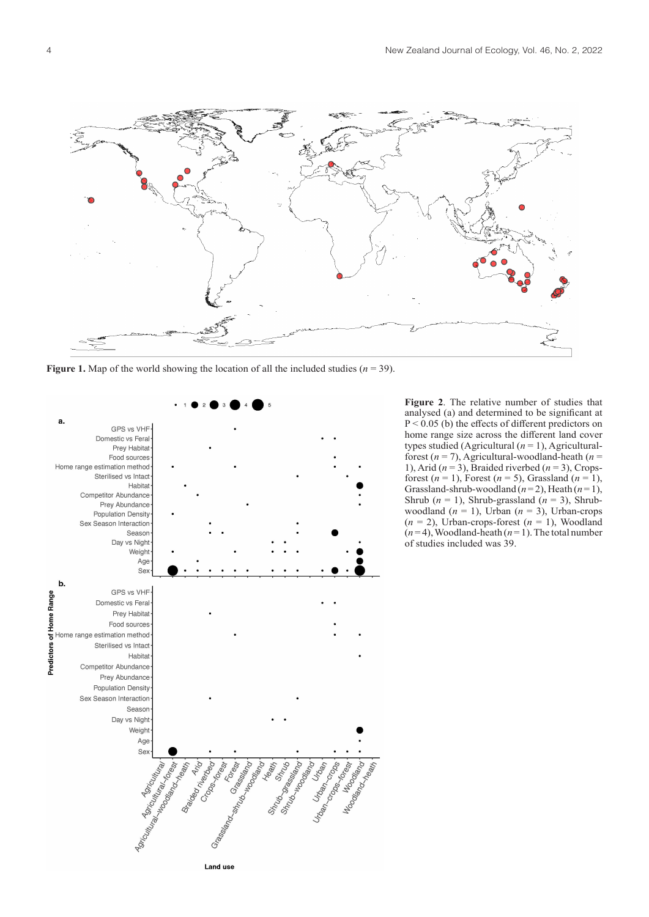

**Figure 1.** Map of the world showing the location of all the included studies  $(n = 39)$ .



**Figure 2**. The relative number of studies that analysed (a) and determined to be significant at P < 0.05 (b) the effects of different predictors on home range size across the different land cover types studied (Agricultural  $(n = 1)$ , Agriculturalforest  $(n = 7)$ , Agricultural-woodland-heath  $(n = 7)$ 1), Arid ( $n = 3$ ), Braided riverbed ( $n = 3$ ), Cropsforest  $(n = 1)$ , Forest  $(n = 5)$ , Grassland  $(n = 1)$ , Grassland-shrub-woodland  $(n=2)$ , Heath  $(n=1)$ , Shrub (*n* = 1), Shrub-grassland (*n* = 3), Shrubwoodland  $(n = 1)$ , Urban  $(n = 3)$ , Urban-crops  $(n = 2)$ , Urban-crops-forest  $(n = 1)$ , Woodland  $(n=4)$ , Woodland-heath  $(n=1)$ . The total number of studies included was 39.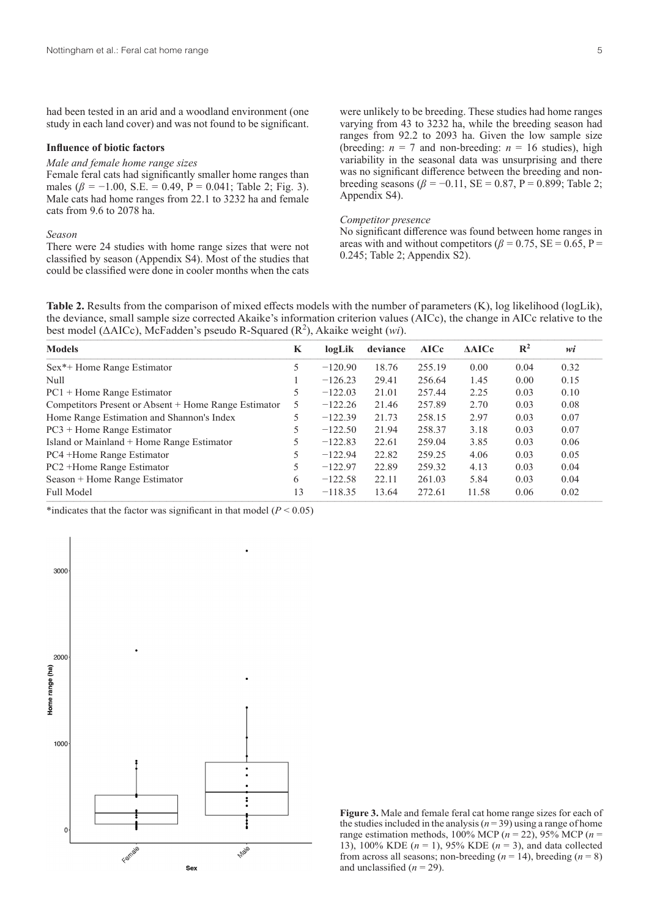had been tested in an arid and a woodland environment (one study in each land cover) and was not found to be significant.

### **Influence of biotic factors**

#### *Male and female home range sizes*

Female feral cats had significantly smaller home ranges than males ( $\beta$  =  $-1.00$ , S.E. = 0.49, P = 0.041; Table 2; Fig. 3). Male cats had home ranges from 22.1 to 3232 ha and female cats from 9.6 to 2078 ha.

### *Season*

There were 24 studies with home range sizes that were not classified by season (Appendix S4). Most of the studies that could be classified were done in cooler months when the cats

were unlikely to be breeding. These studies had home ranges varying from 43 to 3232 ha, while the breeding season had ranges from 92.2 to 2093 ha. Given the low sample size (breeding:  $n = 7$  and non-breeding:  $n = 16$  studies), high variability in the seasonal data was unsurprising and there was no significant difference between the breeding and nonbreeding seasons ( $\beta$  = -0.11, SE = 0.87, P = 0.899; Table 2; Appendix S4).

## *Competitor presence*

No significant difference was found between home ranges in areas with and without competitors ( $\beta$  = 0.75, SE = 0.65, P = 0.245; Table 2; Appendix S2).

**Table 2.** Results from the comparison of mixed effects models with the number of parameters (K), log likelihood (logLik), the deviance, small sample size corrected Akaike's information criterion values (AICc), the change in AICc relative to the best model ( $\triangle$ AICc), McFadden's pseudo R-Squared ( $\mathbb{R}^2$ ), Akaike weight (*wi*).

| <b>Models</b>                                        |  | logLik    | deviance | <b>AICc</b> | AAICc | $\mathbb{R}^2$ | wi   |
|------------------------------------------------------|--|-----------|----------|-------------|-------|----------------|------|
| Sex <sup>*+</sup> Home Range Estimator               |  | $-120.90$ | 18.76    | 255.19      | 0.00  | 0.04           | 0.32 |
| <b>Null</b>                                          |  | $-126.23$ | 29.41    | 256.64      | 1.45  | 0.00           | 0.15 |
| $PC1 +$ Home Range Estimator                         |  | $-122.03$ | 21.01    | 257.44      | 2.25  | 0.03           | 0.10 |
| Competitors Present or Absent + Home Range Estimator |  | $-122.26$ | 21.46    | 257.89      | 2.70  | 0.03           | 0.08 |
| Home Range Estimation and Shannon's Index            |  | $-122.39$ | 21.73    | 258.15      | 2.97  | 0.03           | 0.07 |
| $PC3 +$ Home Range Estimator                         |  | $-122.50$ | 21.94    | 258.37      | 3.18  | 0.03           | 0.07 |
| Island or Mainland + Home Range Estimator            |  | $-122.83$ | 22.61    | 259.04      | 3.85  | 0.03           | 0.06 |
| PC4 +Home Range Estimator                            |  | $-122.94$ | 22.82    | 259.25      | 4.06  | 0.03           | 0.05 |
| PC2 +Home Range Estimator                            |  | $-122.97$ | 22.89    | 259.32      | 4.13  | 0.03           | 0.04 |
| Season + Home Range Estimator                        |  | $-122.58$ | 22.11    | 261.03      | 5.84  | 0.03           | 0.04 |
| <b>Full Model</b>                                    |  | $-118.35$ | 13.64    | 272.61      | 11.58 | 0.06           | 0.02 |

\*indicates that the factor was significant in that model  $(P < 0.05)$ 



**Figure 3.** Male and female feral cat home range sizes for each of the studies included in the analysis ( $n = 39$ ) using a range of home range estimation methods, 100% MCP  $(n = 22)$ , 95% MCP  $(n = 12)$ 13), 100% KDE (*n* = 1), 95% KDE (*n* = 3), and data collected from across all seasons; non-breeding  $(n = 14)$ , breeding  $(n = 8)$ and unclassified  $(n = 29)$ .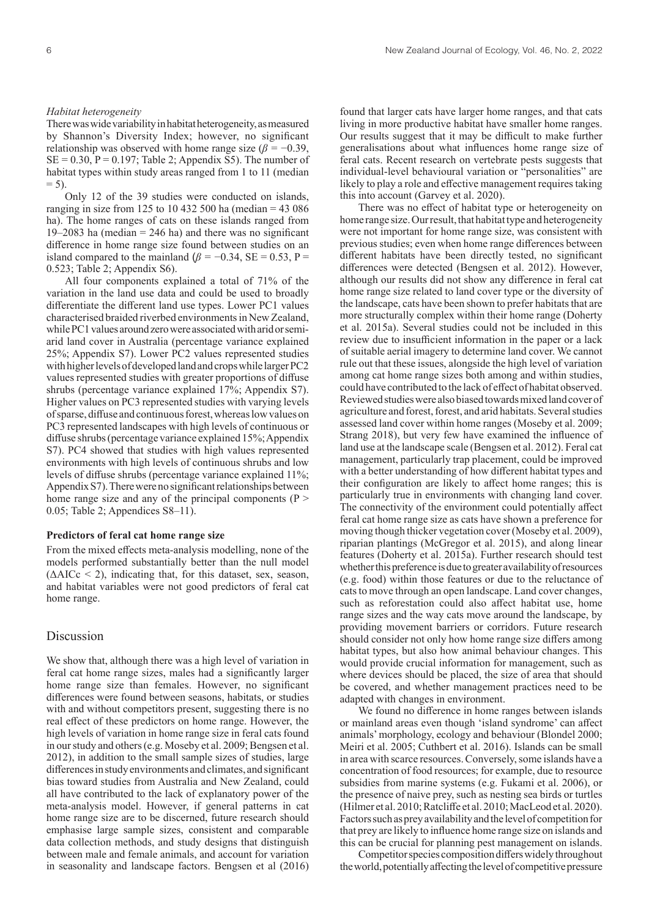There was wide variability in habitat heterogeneity, as measured by Shannon's Diversity Index; however, no significant relationship was observed with home range size ( $\beta = -0.39$ ,  $SE = 0.30$ ,  $P = 0.197$ ; Table 2; Appendix S5). The number of habitat types within study areas ranged from 1 to 11 (median  $= 5.$ 

Only 12 of the 39 studies were conducted on islands, ranging in size from 125 to 10 432 500 ha (median = 43 086 ha). The home ranges of cats on these islands ranged from 19–2083 ha (median  $= 246$  ha) and there was no significant difference in home range size found between studies on an island compared to the mainland ( $\beta$  = −0.34, SE = 0.53, P = 0.523; Table 2; Appendix S6).

All four components explained a total of 71% of the variation in the land use data and could be used to broadly differentiate the different land use types. Lower PC1 values characterised braided riverbed environments in New Zealand, while PC1 values around zero were associated with arid or semiarid land cover in Australia (percentage variance explained 25%; Appendix S7). Lower PC2 values represented studies with higher levels of developed land and crops while larger PC2 values represented studies with greater proportions of diffuse shrubs (percentage variance explained 17%; Appendix S7). Higher values on PC3 represented studies with varying levels of sparse, diffuse and continuous forest, whereas low values on PC3 represented landscapes with high levels of continuous or diffuse shrubs (percentage variance explained 15%; Appendix S7). PC4 showed that studies with high values represented environments with high levels of continuous shrubs and low levels of diffuse shrubs (percentage variance explained 11%; Appendix S7). There were no significant relationships between home range size and any of the principal components (P > 0.05; Table 2; Appendices S8–11).

### **Predictors of feral cat home range size**

From the mixed effects meta-analysis modelling, none of the models performed substantially better than the null model  $(\Delta AICc < 2)$ , indicating that, for this dataset, sex, season, and habitat variables were not good predictors of feral cat home range.

# Discussion

We show that, although there was a high level of variation in feral cat home range sizes, males had a significantly larger home range size than females. However, no significant differences were found between seasons, habitats, or studies with and without competitors present, suggesting there is no real effect of these predictors on home range. However, the high levels of variation in home range size in feral cats found in our study and others (e.g. Moseby et al. 2009; Bengsen et al. 2012), in addition to the small sample sizes of studies, large differences in study environments and climates, and significant bias toward studies from Australia and New Zealand, could all have contributed to the lack of explanatory power of the meta-analysis model. However, if general patterns in cat home range size are to be discerned, future research should emphasise large sample sizes, consistent and comparable data collection methods, and study designs that distinguish between male and female animals, and account for variation in seasonality and landscape factors. Bengsen et al (2016) found that larger cats have larger home ranges, and that cats living in more productive habitat have smaller home ranges. Our results suggest that it may be difficult to make further generalisations about what influences home range size of feral cats. Recent research on vertebrate pests suggests that individual-level behavioural variation or "personalities" are likely to play a role and effective management requires taking this into account (Garvey et al. 2020).

There was no effect of habitat type or heterogeneity on home range size. Our result, that habitat type and heterogeneity were not important for home range size, was consistent with previous studies; even when home range differences between different habitats have been directly tested, no significant differences were detected (Bengsen et al. 2012). However, although our results did not show any difference in feral cat home range size related to land cover type or the diversity of the landscape, cats have been shown to prefer habitats that are more structurally complex within their home range (Doherty et al. 2015a). Several studies could not be included in this review due to insufficient information in the paper or a lack of suitable aerial imagery to determine land cover. We cannot rule out that these issues, alongside the high level of variation among cat home range sizes both among and within studies, could have contributed to the lack of effect of habitat observed. Reviewed studies were also biased towards mixed land cover of agriculture and forest, forest, and arid habitats. Several studies assessed land cover within home ranges (Moseby et al. 2009; Strang 2018), but very few have examined the influence of land use at the landscape scale (Bengsen et al. 2012). Feral cat management, particularly trap placement, could be improved with a better understanding of how different habitat types and their configuration are likely to affect home ranges; this is particularly true in environments with changing land cover. The connectivity of the environment could potentially affect feral cat home range size as cats have shown a preference for moving though thicker vegetation cover (Moseby et al. 2009), riparian plantings (McGregor et al. 2015), and along linear features (Doherty et al. 2015a). Further research should test whether this preference is due to greater availability of resources (e.g. food) within those features or due to the reluctance of cats to move through an open landscape. Land cover changes, such as reforestation could also affect habitat use, home range sizes and the way cats move around the landscape, by providing movement barriers or corridors. Future research should consider not only how home range size differs among habitat types, but also how animal behaviour changes. This would provide crucial information for management, such as where devices should be placed, the size of area that should be covered, and whether management practices need to be adapted with changes in environment.

We found no difference in home ranges between islands or mainland areas even though 'island syndrome' can affect animals' morphology, ecology and behaviour (Blondel 2000; Meiri et al. 2005; Cuthbert et al. 2016). Islands can be small in area with scarce resources. Conversely, some islands have a concentration of food resources; for example, due to resource subsidies from marine systems (e.g. Fukami et al. 2006), or the presence of naive prey, such as nesting sea birds or turtles (Hilmer et al. 2010; Ratcliffe et al. 2010; MacLeod et al. 2020). Factors such as prey availability and the level of competition for that prey are likely to influence home range size on islands and this can be crucial for planning pest management on islands.

Competitor species composition differs widely throughout the world, potentially affecting the level of competitive pressure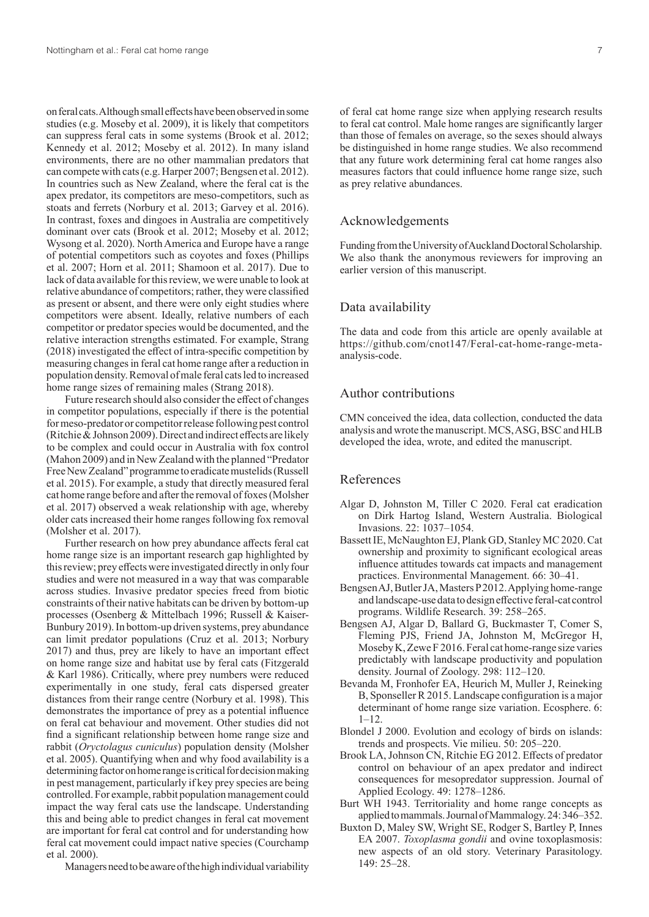on feral cats. Although small effects have been observed in some studies (e.g. Moseby et al. 2009), it is likely that competitors can suppress feral cats in some systems (Brook et al. 2012; Kennedy et al. 2012; Moseby et al. 2012). In many island environments, there are no other mammalian predators that can compete with cats (e.g. Harper 2007; Bengsen et al. 2012). In countries such as New Zealand, where the feral cat is the apex predator, its competitors are meso-competitors, such as stoats and ferrets (Norbury et al. 2013; Garvey et al. 2016). In contrast, foxes and dingoes in Australia are competitively dominant over cats (Brook et al. 2012; Moseby et al. 2012; Wysong et al. 2020). North America and Europe have a range of potential competitors such as coyotes and foxes (Phillips et al. 2007; Horn et al. 2011; Shamoon et al. 2017). Due to lack of data available for this review, we were unable to look at relative abundance of competitors; rather, they were classified as present or absent, and there were only eight studies where competitors were absent. Ideally, relative numbers of each competitor or predator species would be documented, and the relative interaction strengths estimated. For example, Strang (2018) investigated the effect of intra-specific competition by measuring changes in feral cat home range after a reduction in population density. Removal of male feral cats led to increased home range sizes of remaining males (Strang 2018).

Future research should also consider the effect of changes in competitor populations, especially if there is the potential for meso-predator or competitor release following pest control (Ritchie & Johnson 2009). Direct and indirect effects are likely to be complex and could occur in Australia with fox control (Mahon 2009) and in NewZealand with the planned "Predator Free NewZealand" programme to eradicate mustelids (Russell et al. 2015). For example, a study that directly measured feral cat home range before and after the removal of foxes (Molsher et al. 2017) observed a weak relationship with age, whereby older cats increased their home ranges following fox removal (Molsher et al. 2017).

Further research on how prey abundance affects feral cat home range size is an important research gap highlighted by this review; prey effects were investigated directly in only four studies and were not measured in a way that was comparable across studies. Invasive predator species freed from biotic constraints of their native habitats can be driven by bottom-up processes (Osenberg & Mittelbach 1996; Russell & Kaiser-Bunbury 2019). In bottom-up driven systems, prey abundance can limit predator populations (Cruz et al. 2013; Norbury 2017) and thus, prey are likely to have an important effect on home range size and habitat use by feral cats (Fitzgerald & Karl 1986). Critically, where prey numbers were reduced experimentally in one study, feral cats dispersed greater distances from their range centre (Norbury et al. 1998). This demonstrates the importance of prey as a potential influence on feral cat behaviour and movement. Other studies did not find a significant relationship between home range size and rabbit (*Oryctolagus cuniculus*) population density (Molsher et al. 2005). Quantifying when and why food availability is a determining factor on home range is critical for decision making in pest management, particularly if key prey species are being controlled. For example, rabbit population management could impact the way feral cats use the landscape. Understanding this and being able to predict changes in feral cat movement are important for feral cat control and for understanding how feral cat movement could impact native species (Courchamp et al. 2000).

Managers need to be aware of the high individual variability

of feral cat home range size when applying research results to feral cat control. Male home ranges are significantly larger than those of females on average, so the sexes should always be distinguished in home range studies. We also recommend that any future work determining feral cat home ranges also measures factors that could influence home range size, such as prey relative abundances.

# Acknowledgements

Funding from the University of Auckland Doctoral Scholarship. We also thank the anonymous reviewers for improving an earlier version of this manuscript.

## Data availability

The data and code from this article are openly available at https://github.com/cnot147/Feral-cat-home-range-metaanalysis-code.

# Author contributions

CMN conceived the idea, data collection, conducted the data analysis and wrote the manuscript. MCS, ASG, BSC and HLB developed the idea, wrote, and edited the manuscript.

# References

- Algar D, Johnston M, Tiller C 2020. Feral cat eradication on Dirk Hartog Island, Western Australia. Biological Invasions. 22: 1037–1054.
- Bassett IE, McNaughton EJ, Plank GD, Stanley MC 2020. Cat ownership and proximity to significant ecological areas influence attitudes towards cat impacts and management practices. Environmental Management. 66: 30–41.
- Bengsen AJ, Butler JA, Masters P 2012. Applying home-range and landscape-use data to design effective feral-cat control programs. Wildlife Research. 39: 258–265.
- Bengsen AJ, Algar D, Ballard G, Buckmaster T, Comer S, Fleming PJS, Friend JA, Johnston M, McGregor H, Moseby K, Zewe F 2016. Feral cat home-range size varies predictably with landscape productivity and population density. Journal of Zoology. 298: 112–120.
- Bevanda M, Fronhofer EA, Heurich M, Muller J, Reineking B, Sponseller R 2015. Landscape configuration is a major determinant of home range size variation. Ecosphere. 6: 1–12.
- Blondel J 2000. Evolution and ecology of birds on islands: trends and prospects. Vie milieu. 50: 205–220.
- Brook LA, Johnson CN, Ritchie EG 2012. Effects of predator control on behaviour of an apex predator and indirect consequences for mesopredator suppression. Journal of Applied Ecology. 49: 1278–1286.
- Burt WH 1943. Territoriality and home range concepts as applied to mammals. Journal of Mammalogy. 24: 346–352.
- Buxton D, Maley SW, Wright SE, Rodger S, Bartley P, Innes EA 2007. *Toxoplasma gondii* and ovine toxoplasmosis: new aspects of an old story. Veterinary Parasitology. 149: 25–28.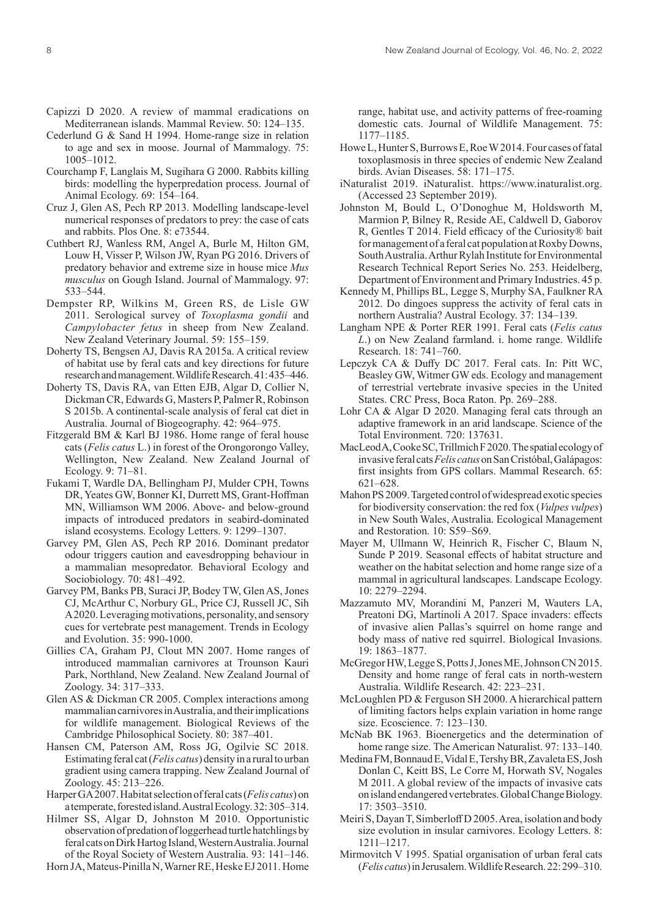- Capizzi D 2020. A review of mammal eradications on Mediterranean islands. Mammal Review. 50: 124–135.
- Cederlund G & Sand H 1994. Home-range size in relation to age and sex in moose. Journal of Mammalogy. 75: 1005–1012.
- Courchamp F, Langlais M, Sugihara G 2000. Rabbits killing birds: modelling the hyperpredation process. Journal of Animal Ecology. 69: 154–164.
- Cruz J, Glen AS, Pech RP 2013. Modelling landscape-level numerical responses of predators to prey: the case of cats and rabbits. Plos One. 8: e73544.
- Cuthbert RJ, Wanless RM, Angel A, Burle M, Hilton GM, Louw H, Visser P, Wilson JW, Ryan PG 2016. Drivers of predatory behavior and extreme size in house mice *Mus musculus* on Gough Island. Journal of Mammalogy. 97: 533–544.
- Dempster RP, Wilkins M, Green RS, de Lisle GW 2011. Serological survey of *Toxoplasma gondii* and *Campylobacter fetus* in sheep from New Zealand. New Zealand Veterinary Journal. 59: 155–159.
- Doherty TS, Bengsen AJ, Davis RA 2015a. A critical review of habitat use by feral cats and key directions for future research and management. Wildlife Research. 41: 435–446.
- Doherty TS, Davis RA, van Etten EJB, Algar D, Collier N, Dickman CR, Edwards G, Masters P, Palmer R, Robinson S 2015b. A continental-scale analysis of feral cat diet in Australia. Journal of Biogeography. 42: 964–975.
- Fitzgerald BM & Karl BJ 1986. Home range of feral house cats (*Felis catus* L.) in forest of the Orongorongo Valley, Wellington, New Zealand. New Zealand Journal of Ecology. 9: 71–81.
- Fukami T, Wardle DA, Bellingham PJ, Mulder CPH, Towns DR, Yeates GW, Bonner KI, Durrett MS, Grant-Hoffman MN, Williamson WM 2006. Above- and below-ground impacts of introduced predators in seabird-dominated island ecosystems. Ecology Letters. 9: 1299–1307.
- Garvey PM, Glen AS, Pech RP 2016. Dominant predator odour triggers caution and eavesdropping behaviour in a mammalian mesopredator. Behavioral Ecology and Sociobiology. 70: 481–492.
- Garvey PM, Banks PB, Suraci JP, Bodey TW, Glen AS, Jones CJ, McArthur C, Norbury GL, Price CJ, Russell JC, Sih A 2020. Leveraging motivations, personality, and sensory cues for vertebrate pest management. Trends in Ecology and Evolution. 35: 990-1000.
- Gillies CA, Graham PJ, Clout MN 2007. Home ranges of introduced mammalian carnivores at Trounson Kauri Park, Northland, New Zealand. New Zealand Journal of Zoology. 34: 317–333.
- Glen AS & Dickman CR 2005. Complex interactions among mammalian carnivores in Australia, and their implications for wildlife management. Biological Reviews of the Cambridge Philosophical Society. 80: 387–401.
- Hansen CM, Paterson AM, Ross JG, Ogilvie SC 2018. Estimating feral cat (*Felis catus*) density in a rural to urban gradient using camera trapping. New Zealand Journal of Zoology. 45: 213–226.
- Harper GA 2007. Habitat selection of feral cats (*Felis catus*) on a temperate, forested island. Austral Ecology. 32: 305–314.
- Hilmer SS, Algar D, Johnston M 2010. Opportunistic observation of predation of loggerhead turtle hatchlings by feral cats on Dirk Hartog Island, Western Australia. Journal of the Royal Society of Western Australia. 93: 141–146.
- Horn JA, Mateus-Pinilla N, Warner RE, Heske EJ 2011. Home

range, habitat use, and activity patterns of free-roaming domestic cats. Journal of Wildlife Management. 75: 1177–1185.

- Howe L, Hunter S, Burrows E, Roe W 2014. Four cases of fatal toxoplasmosis in three species of endemic New Zealand birds. Avian Diseases. 58: 171–175.
- iNaturalist 2019. iNaturalist. https://www.inaturalist.org. (Accessed 23 September 2019).
- Johnston M, Bould L, O'Donoghue M, Holdsworth M, Marmion P, Bilney R, Reside AE, Caldwell D, Gaborov R, Gentles T 2014. Field efficacy of the Curiosity® bait for management of a feral cat population at Roxby Downs, South Australia. Arthur Rylah Institute for Environmental Research Technical Report Series No. 253. Heidelberg, Department of Environment and Primary Industries. 45 p.
- Kennedy M, Phillips BL, Legge S, Murphy SA, Faulkner RA 2012. Do dingoes suppress the activity of feral cats in northern Australia? Austral Ecology. 37: 134–139.
- Langham NPE & Porter RER 1991. Feral cats (*Felis catus L*.) on New Zealand farmland. i. home range. Wildlife Research. 18: 741–760.
- Lepczyk CA & Duffy DC 2017. Feral cats. In: Pitt WC, Beasley GW, Witmer GW eds. Ecology and management of terrestrial vertebrate invasive species in the United States. CRC Press, Boca Raton. Pp. 269–288.
- Lohr CA & Algar D 2020. Managing feral cats through an adaptive framework in an arid landscape. Science of the Total Environment. 720: 137631.
- MacLeod A, Cooke SC, Trillmich F 2020. The spatial ecology of invasive feral cats *Felis catus* on San Cristóbal, Galápagos: first insights from GPS collars. Mammal Research. 65: 621–628.
- Mahon PS 2009. Targeted control of widespread exotic species for biodiversity conservation: the red fox (*Vulpes vulpes*) in New South Wales, Australia. Ecological Management and Restoration. 10: S59–S69.
- Mayer M, Ullmann W, Heinrich R, Fischer C, Blaum N, Sunde P 2019. Seasonal effects of habitat structure and weather on the habitat selection and home range size of a mammal in agricultural landscapes. Landscape Ecology. 10: 2279–2294.
- Mazzamuto MV, Morandini M, Panzeri M, Wauters LA, Preatoni DG, Martinoli A 2017. Space invaders: effects of invasive alien Pallas's squirrel on home range and body mass of native red squirrel. Biological Invasions. 19: 1863–1877.
- McGregor HW, Legge S, Potts J, Jones ME, Johnson CN 2015. Density and home range of feral cats in north-western Australia. Wildlife Research. 42: 223–231.
- McLoughlen PD & Ferguson SH 2000. A hierarchical pattern of limiting factors helps explain variation in home range size. Ecoscience. 7: 123–130.
- McNab BK 1963. Bioenergetics and the determination of home range size. The American Naturalist. 97: 133–140.
- Medina FM, Bonnaud E, Vidal E, Tershy BR, Zavaleta ES, Josh Donlan C, Keitt BS, Le Corre M, Horwath SV, Nogales M 2011. A global review of the impacts of invasive cats on island endangered vertebrates. Global Change Biology. 17: 3503–3510.
- Meiri S, Dayan T, Simberloff D 2005. Area, isolation and body size evolution in insular carnivores. Ecology Letters. 8: 1211–1217.
- Mirmovitch V 1995. Spatial organisation of urban feral cats (*Felis catus*) in Jerusalem. Wildlife Research. 22: 299–310.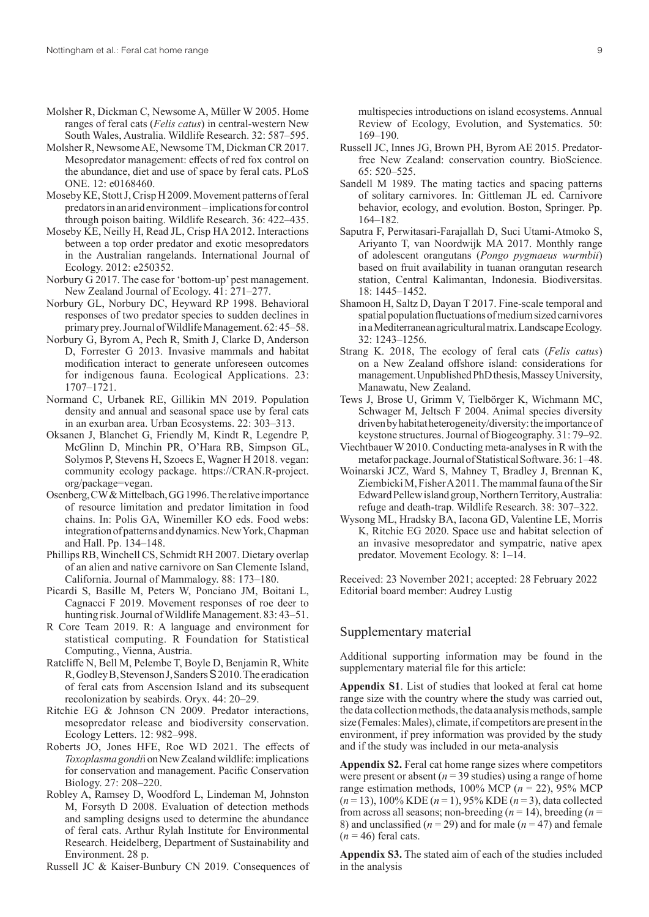- Molsher R, Dickman C, Newsome A, Müller W 2005. Home ranges of feral cats (*Felis catus*) in central-western New South Wales, Australia. Wildlife Research. 32: 587–595.
- Molsher R, Newsome AE, Newsome TM, Dickman CR 2017. Mesopredator management: effects of red fox control on the abundance, diet and use of space by feral cats. PLoS ONE. 12: e0168460.
- Moseby KE, Stott J, Crisp H 2009. Movement patterns of feral predators in an arid environment – implications for control through poison baiting. Wildlife Research. 36: 422–435.
- Moseby KE, Neilly H, Read JL, Crisp HA 2012. Interactions between a top order predator and exotic mesopredators in the Australian rangelands. International Journal of Ecology. 2012: e250352.
- Norbury G 2017. The case for 'bottom-up' pest management. New Zealand Journal of Ecology. 41: 271–277.
- Norbury GL, Norbury DC, Heyward RP 1998. Behavioral responses of two predator species to sudden declines in primary prey. Journal of Wildlife Management. 62: 45–58.
- Norbury G, Byrom A, Pech R, Smith J, Clarke D, Anderson D, Forrester G 2013. Invasive mammals and habitat modification interact to generate unforeseen outcomes for indigenous fauna. Ecological Applications. 23: 1707–1721.
- Normand C, Urbanek RE, Gillikin MN 2019. Population density and annual and seasonal space use by feral cats in an exurban area. Urban Ecosystems. 22: 303–313.
- Oksanen J, Blanchet G, Friendly M, Kindt R, Legendre P, McGlinn D, Minchin PR, O'Hara RB, Simpson GL, Solymos P, Stevens H, Szoecs E, Wagner H 2018. vegan: community ecology package. https://CRAN.R-project. org/package=vegan.
- Osenberg, CW & Mittelbach, GG 1996. The relative importance of resource limitation and predator limitation in food chains. In: Polis GA, Winemiller KO eds. Food webs: integration of patterns and dynamics. New York, Chapman and Hall. Pp. 134–148.
- Phillips RB, Winchell CS, Schmidt RH 2007. Dietary overlap of an alien and native carnivore on San Clemente Island, California. Journal of Mammalogy. 88: 173–180.
- Picardi S, Basille M, Peters W, Ponciano JM, Boitani L, Cagnacci F 2019. Movement responses of roe deer to hunting risk. Journal of Wildlife Management. 83: 43–51.
- R Core Team 2019. R: A language and environment for statistical computing. R Foundation for Statistical Computing., Vienna, Austria.
- Ratcliffe N, Bell M, Pelembe T, Boyle D, Benjamin R, White R, Godley B, Stevenson J, Sanders S 2010. The eradication of feral cats from Ascension Island and its subsequent recolonization by seabirds. Oryx. 44: 20–29.
- Ritchie EG & Johnson CN 2009. Predator interactions, mesopredator release and biodiversity conservation. Ecology Letters. 12: 982–998.
- Roberts JO, Jones HFE, Roe WD 2021. The effects of *Toxoplasma gondi*i on NewZealand wildlife: implications for conservation and management. Pacific Conservation Biology. 27: 208–220.
- Robley A, Ramsey D, Woodford L, Lindeman M, Johnston M, Forsyth D 2008. Evaluation of detection methods and sampling designs used to determine the abundance of feral cats. Arthur Rylah Institute for Environmental Research. Heidelberg, Department of Sustainability and Environment. 28 p.

Russell JC & Kaiser-Bunbury CN 2019. Consequences of

multispecies introductions on island ecosystems. Annual Review of Ecology, Evolution, and Systematics. 50: 169–190.

- Russell JC, Innes JG, Brown PH, Byrom AE 2015. Predatorfree New Zealand: conservation country. BioScience. 65: 520–525.
- Sandell M 1989. The mating tactics and spacing patterns of solitary carnivores. In: Gittleman JL ed. Carnivore behavior, ecology, and evolution. Boston, Springer. Pp. 164–182.
- Saputra F, Perwitasari-Farajallah D, Suci Utami-Atmoko S, Ariyanto T, van Noordwijk MA 2017. Monthly range of adolescent orangutans (*Pongo pygmaeus wurmbii*) based on fruit availability in tuanan orangutan research station, Central Kalimantan, Indonesia. Biodiversitas. 18: 1445–1452.
- Shamoon H, Saltz D, Dayan T 2017. Fine-scale temporal and spatial population fluctuations of medium sized carnivores in a Mediterranean agricultural matrix. Landscape Ecology. 32: 1243–1256.
- Strang K. 2018, The ecology of feral cats (*Felis catus*) on a New Zealand offshore island: considerations for management. Unpublished PhD thesis, Massey University, Manawatu, New Zealand.
- Tews J, Brose U, Grimm V, Tielbörger K, Wichmann MC, Schwager M, Jeltsch F 2004. Animal species diversity driven by habitat heterogeneity/diversity: the importance of keystone structures. Journal of Biogeography. 31: 79–92.
- Viechtbauer W 2010. Conducting meta-analyses in R with the metafor package. Journal of Statistical Software. 36: 1–48.
- Woinarski JCZ, Ward S, Mahney T, Bradley J, Brennan K, Ziembicki M, Fisher A 2011. The mammal fauna of the Sir Edward Pellew island group, Northern Territory, Australia: refuge and death-trap. Wildlife Research. 38: 307–322.
- Wysong ML, Hradsky BA, Iacona GD, Valentine LE, Morris K, Ritchie EG 2020. Space use and habitat selection of an invasive mesopredator and sympatric, native apex predator. Movement Ecology. 8: 1–14.

Received: 23 November 2021; accepted: 28 February 2022 Editorial board member: Audrey Lustig

# Supplementary material

Additional supporting information may be found in the supplementary material file for this article:

**Appendix S1**. List of studies that looked at feral cat home range size with the country where the study was carried out, the data collection methods, the data analysis methods, sample size (Females: Males), climate, if competitors are present in the environment, if prey information was provided by the study and if the study was included in our meta-analysis

**Appendix S2.** Feral cat home range sizes where competitors were present or absent  $(n = 39$  studies) using a range of home range estimation methods,  $100\%$  MCP ( $n = 22$ ), 95% MCP (*n* = 13), 100% KDE (*n* = 1), 95% KDE (*n* = 3), data collected from across all seasons; non-breeding  $(n = 14)$ , breeding  $(n = 14)$ 8) and unclassified  $(n = 29)$  and for male  $(n = 47)$  and female  $(n = 46)$  feral cats.

**Appendix S3.** The stated aim of each of the studies included in the analysis